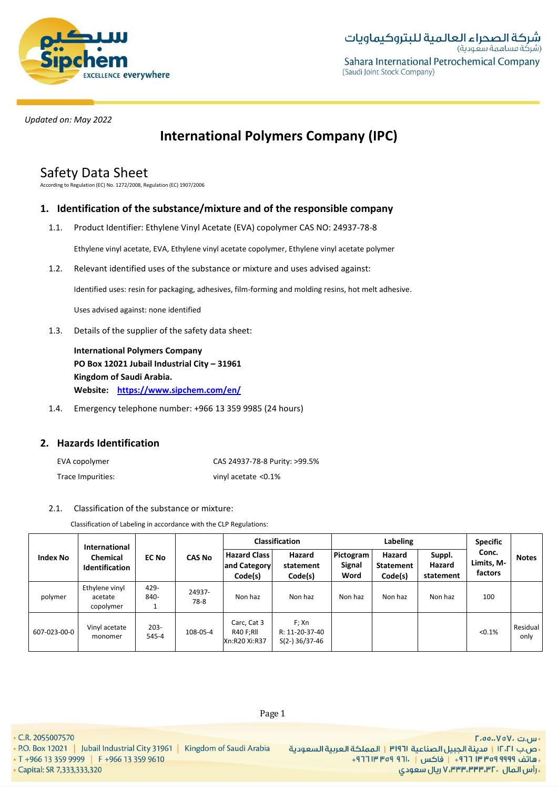

# **International Polymers Company (IPC)**

# Safety Data Sheet

According to Regulation (EC) No. 1272/2008, Regulation (EC) 1907/2006

# **1. Identification of the substance/mixture and of the responsible company**

1.1. Product Identifier: Ethylene Vinyl Acetate (EVA) copolymer CAS NO: 24937-78-8

Ethylene vinyl acetate, EVA, Ethylene vinyl acetate copolymer, Ethylene vinyl acetate polymer

1.2. Relevant identified uses of the substance or mixture and uses advised against:

Identified uses: resin for packaging, adhesives, film-forming and molding resins, hot melt adhesive.

Uses advised against: none identified

1.3. Details of the supplier of the safety data sheet:

**International Polymers Company PO Box 12021 Jubail Industrial City – 31961 Kingdom of Saudi Arabia. Website: https://www.sipchem.com/en/**

1.4. Emergency telephone number: +966 13 359 9985 (24 hours)

# **2. Hazards Identification**

| EVA copolymer     | CAS 24937-78-8 Purity: >99.5% |
|-------------------|-------------------------------|
| Trace Impurities: | vinyl acetate <0.1%           |

# 2.1. Classification of the substance or mixture:

Classification of Labeling in accordance with the CLP Regulations:

|                 | <b>International</b>                   |                  |                | <b>Classification</b>                            |                                             | Labeling                           |                                       |                               | <b>Specific</b>                |                  |
|-----------------|----------------------------------------|------------------|----------------|--------------------------------------------------|---------------------------------------------|------------------------------------|---------------------------------------|-------------------------------|--------------------------------|------------------|
| <b>Index No</b> | Chemical<br><b>Identification</b>      | <b>EC No</b>     | <b>CAS No</b>  | <b>Hazard Class I</b><br>and Category<br>Code(s) | Hazard<br>statement<br>Code(s)              | Pictogram<br><b>Signal</b><br>Word | Hazard<br><b>Statement</b><br>Code(s) | Suppl.<br>Hazard<br>statement | Conc.<br>Limits, M-<br>factors | <b>Notes</b>     |
| polymer         | Ethylene vinyl<br>acetate<br>copolymer | 429-<br>840-     | 24937-<br>78-8 | Non haz                                          | Non haz                                     | Non haz                            | Non haz                               | Non haz                       | 100                            |                  |
| 607-023-00-0    | Vinyl acetate<br>monomer               | $203 -$<br>545-4 | 108-05-4       | Carc, Cat 3<br>R40 F;RII<br>Xn:R20 Xi:R37        | F; Xn<br>R: 11-20-37-40<br>$S(2-)$ 36/37-46 |                                    |                                       |                               | < 0.1%                         | Residual<br>only |

• C.R. 2055007570

• P.O. Box 12021 | Jubail Industrial City 31961 | Kingdom of Saudi Arabia

• T +966 13 359 9999 | F +966 13 359 9610

• Capital: SR 7,333,333,320

- س.ت ۷۵۷۰، ٢.٥٥.، ٢ •ص.ب ١٢٠٢١ | مدينة الجبيل الصناعية ٣١٩٦١ | المملكة العربية السعودية · هاتف ٩٩٩٩ ٩٩٩ ٣٣ ٣ ٢٦٢ - إ فاكس | . ١٣١١ ٩٣٩ ١٣ ٢٦٦ + ريال سعودي, ۷٬۳۳۳٬۳۳۳٬۳۲۰ ريال سعودي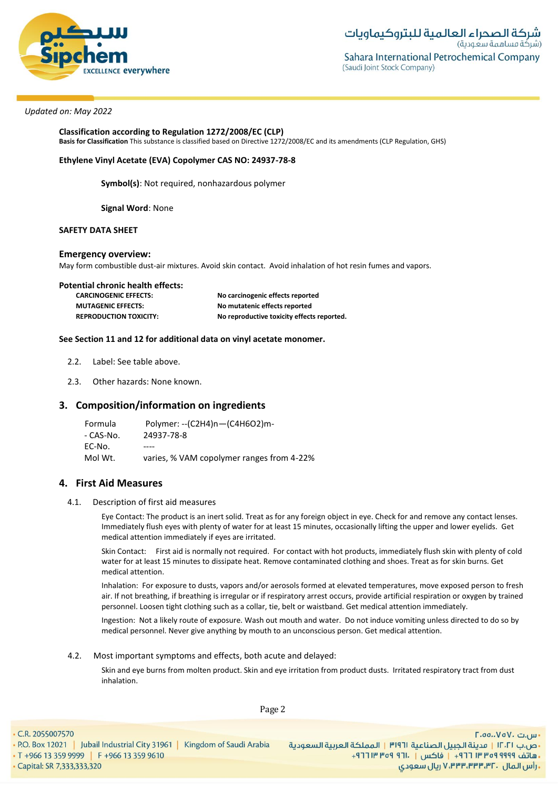

**Classification according to Regulation 1272/2008/EC (CLP) Basis for Classification** This substance is classified based on Directive 1272/2008/EC and its amendments (CLP Regulation, GHS)

### **Ethylene Vinyl Acetate (EVA) Copolymer CAS NO: 24937-78-8**

**Symbol(s)**: Not required, nonhazardous polymer

**Signal Word**: None

### **SAFETY DATA SHEET**

#### **Emergency overview:**

May form combustible dust-air mixtures. Avoid skin contact. Avoid inhalation of hot resin fumes and vapors.

| Potential chronic health effects: |                                            |
|-----------------------------------|--------------------------------------------|
| <b>CARCINOGENIC EFFECTS:</b>      | No carcinogenic effects reported           |
| <b>MUTAGENIC EFFECTS:</b>         | No mutatenic effects reported              |
| <b>REPRODUCTION TOXICITY:</b>     | No reproductive toxicity effects reported. |

#### **See Section 11 and 12 for additional data on vinyl acetate monomer.**

- 2.2. Label: See table above.
- 2.3. Other hazards: None known.

# **3. Composition/information on ingredients**

Formula Polymer: --(C2H4)n—(C4H6O2)m- - CAS-No. 24937-78-8 EC-No. ---- Mol Wt. varies, % VAM copolymer ranges from 4-22%

## **4. First Aid Measures**

4.1. Description of first aid measures

Eye Contact: The product is an inert solid. Treat as for any foreign object in eye. Check for and remove any contact lenses. Immediately flush eyes with plenty of water for at least 15 minutes, occasionally lifting the upper and lower eyelids. Get medical attention immediately if eyes are irritated.

Skin Contact: First aid is normally not required. For contact with hot products, immediately flush skin with plenty of cold water for at least 15 minutes to dissipate heat. Remove contaminated clothing and shoes. Treat as for skin burns. Get medical attention.

Inhalation: For exposure to dusts, vapors and/or aerosols formed at elevated temperatures, move exposed person to fresh air. If not breathing, if breathing is irregular or if respiratory arrest occurs, provide artificial respiration or oxygen by trained personnel. Loosen tight clothing such as a collar, tie, belt or waistband. Get medical attention immediately.

Ingestion: Not a likely route of exposure. Wash out mouth and water. Do not induce vomiting unless directed to do so by medical personnel. Never give anything by mouth to an unconscious person. Get medical attention.

#### 4.2. Most important symptoms and effects, both acute and delayed:

Skin and eye burns from molten product. Skin and eye irritation from product dusts. Irritated respiratory tract from dust inhalation.

Page 2

• C.R. 2055007570

· Capital: SR 7,333,333,320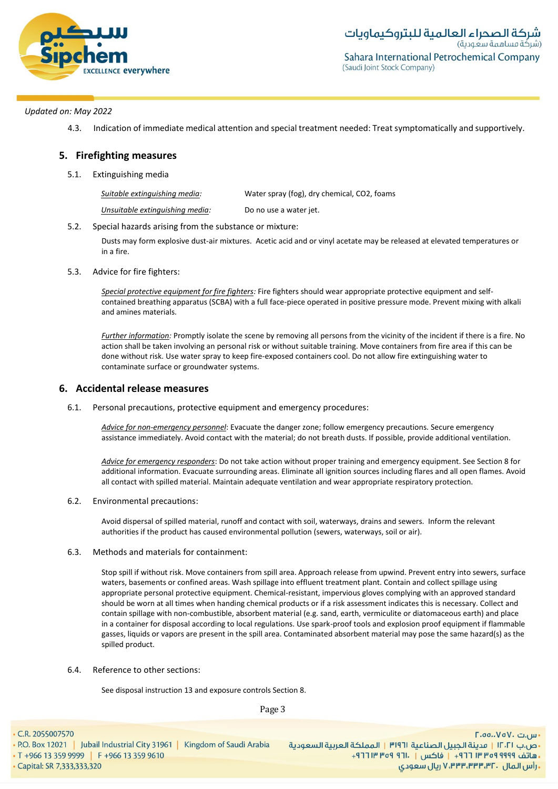

4.3. Indication of immediate medical attention and special treatment needed: Treat symptomatically and supportively.

# **5. Firefighting measures**

5.1. Extinguishing media

| Suitable extinauishina media:   | Water spray (fog), dry chemical, CO2, foams |
|---------------------------------|---------------------------------------------|
| Unsuitable extinguishing media: | Do no use a water jet.                      |

5.2. Special hazards arising from the substance or mixture:

Dusts may form explosive dust-air mixtures. Acetic acid and or vinyl acetate may be released at elevated temperatures or in a fire.

5.3. Advice for fire fighters:

*Special protective equipment for fire fighters:* Fire fighters should wear appropriate protective equipment and selfcontained breathing apparatus (SCBA) with a full face-piece operated in positive pressure mode. Prevent mixing with alkali and amines materials.

*Further information:* Promptly isolate the scene by removing all persons from the vicinity of the incident if there is a fire. No action shall be taken involving an personal risk or without suitable training. Move containers from fire area if this can be done without risk. Use water spray to keep fire-exposed containers cool. Do not allow fire extinguishing water to contaminate surface or groundwater systems.

# **6. Accidental release measures**

6.1. Personal precautions, protective equipment and emergency procedures:

*Advice for non-emergency personnel*: Evacuate the danger zone; follow emergency precautions. Secure emergency assistance immediately. Avoid contact with the material; do not breath dusts. If possible, provide additional ventilation.

*Advice for emergency responders*: Do not take action without proper training and emergency equipment. See Section 8 for additional information. Evacuate surrounding areas. Eliminate all ignition sources including flares and all open flames. Avoid all contact with spilled material. Maintain adequate ventilation and wear appropriate respiratory protection.

6.2. Environmental precautions:

Avoid dispersal of spilled material, runoff and contact with soil, waterways, drains and sewers. Inform the relevant authorities if the product has caused environmental pollution (sewers, waterways, soil or air).

6.3. Methods and materials for containment:

Stop spill if without risk. Move containers from spill area. Approach release from upwind. Prevent entry into sewers, surface waters, basements or confined areas. Wash spillage into effluent treatment plant. Contain and collect spillage using appropriate personal protective equipment. Chemical-resistant, impervious gloves complying with an approved standard should be worn at all times when handing chemical products or if a risk assessment indicates this is necessary. Collect and contain spillage with non-combustible, absorbent material (e.g. sand, earth, vermiculite or diatomaceous earth) and place in a container for disposal according to local regulations. Use spark-proof tools and explosion proof equipment if flammable gasses, liquids or vapors are present in the spill area. Contaminated absorbent material may pose the same hazard(s) as the spilled product.

6.4. Reference to other sections:

See disposal instruction 13 and exposure controls Section 8.

Page 3

- C.R. 2055007570
-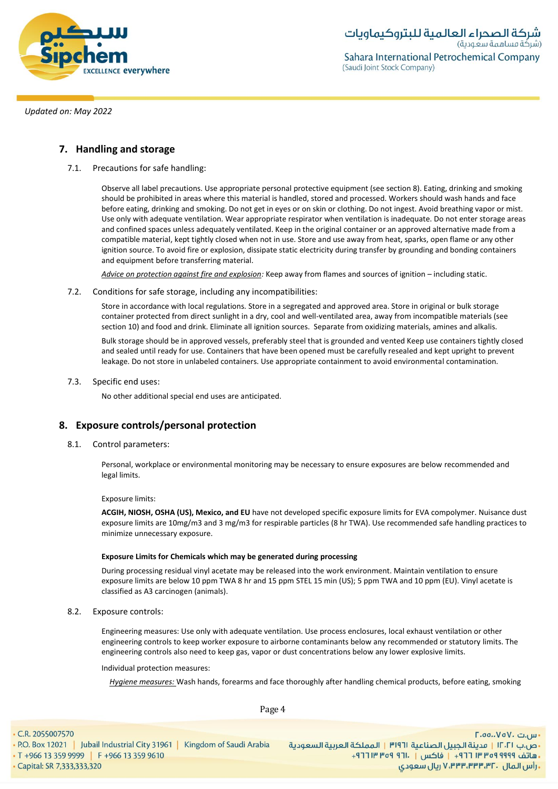

# **7. Handling and storage**

7.1. Precautions for safe handling:

Observe all label precautions. Use appropriate personal protective equipment (see section 8). Eating, drinking and smoking should be prohibited in areas where this material is handled, stored and processed. Workers should wash hands and face before eating, drinking and smoking. Do not get in eyes or on skin or clothing. Do not ingest. Avoid breathing vapor or mist. Use only with adequate ventilation. Wear appropriate respirator when ventilation is inadequate. Do not enter storage areas and confined spaces unless adequately ventilated. Keep in the original container or an approved alternative made from a compatible material, kept tightly closed when not in use. Store and use away from heat, sparks, open flame or any other ignition source. To avoid fire or explosion, dissipate static electricity during transfer by grounding and bonding containers and equipment before transferring material.

*Advice on protection against fire and explosion:* Keep away from flames and sources of ignition – including static.

7.2. Conditions for safe storage, including any incompatibilities:

Store in accordance with local regulations. Store in a segregated and approved area. Store in original or bulk storage container protected from direct sunlight in a dry, cool and well-ventilated area, away from incompatible materials (see section 10) and food and drink. Eliminate all ignition sources. Separate from oxidizing materials, amines and alkalis.

Bulk storage should be in approved vessels, preferably steel that is grounded and vented Keep use containers tightly closed and sealed until ready for use. Containers that have been opened must be carefully resealed and kept upright to prevent leakage. Do not store in unlabeled containers. Use appropriate containment to avoid environmental contamination.

7.3. Specific end uses:

No other additional special end uses are anticipated.

# **8. Exposure controls/personal protection**

8.1. Control parameters:

Personal, workplace or environmental monitoring may be necessary to ensure exposures are below recommended and legal limits.

#### Exposure limits:

**ACGIH, NIOSH, OSHA (US), Mexico, and EU** have not developed specific exposure limits for EVA compolymer. Nuisance dust exposure limits are 10mg/m3 and 3 mg/m3 for respirable particles (8 hr TWA). Use recommended safe handling practices to minimize unnecessary exposure.

#### **Exposure Limits for Chemicals which may be generated during processing**

During processing residual vinyl acetate may be released into the work environment. Maintain ventilation to ensure exposure limits are below 10 ppm TWA 8 hr and 15 ppm STEL 15 min (US); 5 ppm TWA and 10 ppm (EU). Vinyl acetate is classified as A3 carcinogen (animals).

8.2. Exposure controls:

Engineering measures: Use only with adequate ventilation. Use process enclosures, local exhaust ventilation or other engineering controls to keep worker exposure to airborne contaminants below any recommended or statutory limits. The engineering controls also need to keep gas, vapor or dust concentrations below any lower explosive limits.

Individual protection measures:

*Hygiene measures:* Wash hands, forearms and face thoroughly after handling chemical products, before eating, smoking

Page 4

• C.R. 2055007570 - ص.ب IT، السعردية الجبيل الصناعية 1911 | المملكة العربية السعودية | 1961 P.O. Box 12021 | Jubail Industrial City 31961 | Kingdom of Saudi Arabia<br>- هاتف 1999 Pre 13 359 9999 | F +966 13 359 9610 . [19] Tre of 911. [19] 19 • Capital: SR 7,333,333,320

- س.ت ۷۵۷۰، ۲.۵۵.۰۷۵ **. رأس المال ۷٬۳۳۳٬۳۳۳٬۳۲۰ ریال سعودی**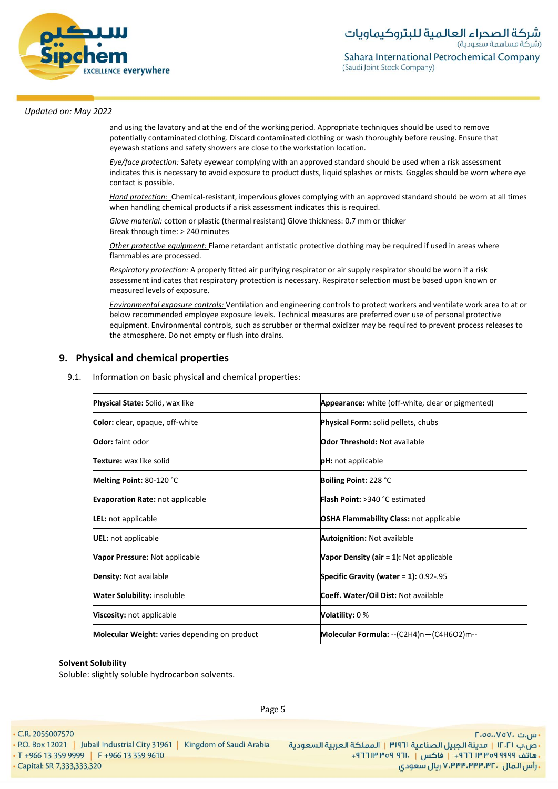

and using the lavatory and at the end of the working period. Appropriate techniques should be used to remove potentially contaminated clothing. Discard contaminated clothing or wash thoroughly before reusing. Ensure that eyewash stations and safety showers are close to the workstation location*.*

*Eye/face protection:* Safety eyewear complying with an approved standard should be used when a risk assessment indicates this is necessary to avoid exposure to product dusts, liquid splashes or mists. Goggles should be worn where eye contact is possible.

*Hand protection:* Chemical-resistant, impervious gloves complying with an approved standard should be worn at all times when handling chemical products if a risk assessment indicates this is required.

*Glove material:* cotton or plastic (thermal resistant) Glove thickness: 0.7 mm or thicker Break through time: > 240 minutes

*Other protective equipment:* Flame retardant antistatic protective clothing may be required if used in areas where flammables are processed.

*Respiratory protection:* A properly fitted air purifying respirator or air supply respirator should be worn if a risk assessment indicates that respiratory protection is necessary. Respirator selection must be based upon known or measured levels of exposure.

*Environmental exposure controls:* Ventilation and engineering controls to protect workers and ventilate work area to at or below recommended employee exposure levels. Technical measures are preferred over use of personal protective equipment. Environmental controls, such as scrubber or thermal oxidizer may be required to prevent process releases to the atmosphere. Do not empty or flush into drains.

# **9. Physical and chemical properties**

9.1. Information on basic physical and chemical properties:

| <b>Physical State:</b> Solid, wax like               | <b>Appearance:</b> white (off-white, clear or pigmented) |  |
|------------------------------------------------------|----------------------------------------------------------|--|
| <b>Color:</b> clear, opaque, off-white               | <b>Physical Form:</b> solid pellets, chubs               |  |
| <b>Odor:</b> faint odor                              | <b>Odor Threshold: Not available</b>                     |  |
| <b>Texture:</b> wax like solid                       | <b>pH</b> : not applicable                               |  |
| Melting Point: 80-120 °C                             | Boiling Point: 228 °C                                    |  |
| <b>Evaporation Rate: not applicable</b>              | <b>Flash Point: &gt;340 °C estimated</b>                 |  |
| <b>LEL:</b> not applicable                           | <b>OSHA Flammability Class: not applicable</b>           |  |
| UEL: not applicable                                  | <b>Autoignition: Not available</b>                       |  |
| Vapor Pressure: Not applicable                       | Vapor Density (air = 1): Not applicable                  |  |
| <b>Density: Not available</b>                        | Specific Gravity (water = $1$ ): 0.92-.95                |  |
| <b>Water Solubility:</b> insoluble                   | Coeff. Water/Oil Dist: Not available                     |  |
| Viscosity: not applicable                            | <b>Volatility: 0%</b>                                    |  |
| <b>Molecular Weight:</b> varies depending on product | Molecular Formula: -- (C2H4)n-(C4H6O2)m--                |  |

#### **Solvent Solubility**

Soluble: slightly soluble hydrocarbon solvents.

Page 5

• C.R. 2055007570

- 
- · Capital: SR 7,333,333,320

- س.ت ۷۵۷۰، ۲.۵۵.۰۷۵ - ص.ب IT، السعادة الجبيل الصناعية الـ 191٣ | المملكة العربية السعودية السعودة العربية السعودة العربية السعودية<br>- هاتف 1919 1949 11 11+ | فاكس | .11+ 1964 19 11+ 1966 13 159 9610 11+ 10+ 1966 13 159 9999 15+ 1966 13 359 19 ريال سعودي, ۷٬۳۳۳٬۳۳۳٬۳۲۰ ريال سعودي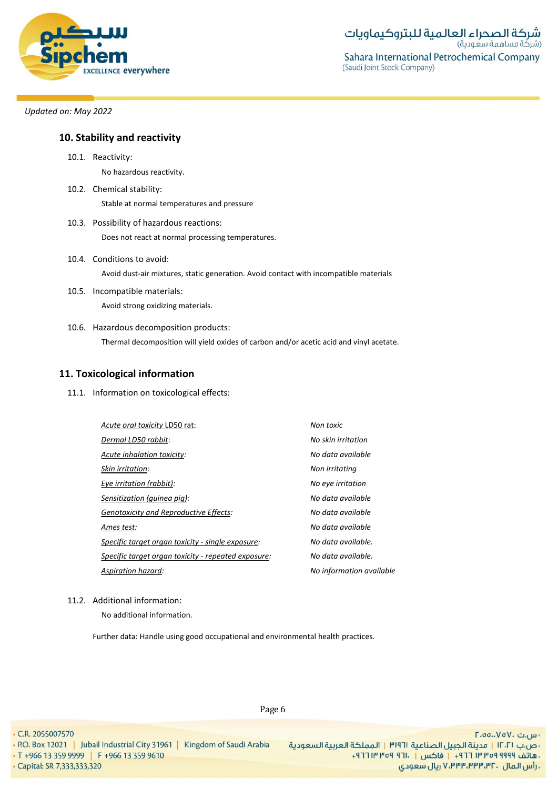

# **10. Stability and reactivity**

10.1. Reactivity:

No hazardous reactivity.

- 10.2. Chemical stability: Stable at normal temperatures and pressure
- 10.3. Possibility of hazardous reactions: Does not react at normal processing temperatures.
- 10.4. Conditions to avoid: Avoid dust-air mixtures, static generation. Avoid contact with incompatible materials
- 10.5. Incompatible materials: Avoid strong oxidizing materials.
- 10.6. Hazardous decomposition products: Thermal decomposition will yield oxides of carbon and/or acetic acid and vinyl acetate.

# **11. Toxicological information**

11.1. Information on toxicological effects:

| Acute oral toxicity LD50 rat:                       | Non toxic                |
|-----------------------------------------------------|--------------------------|
| Dermal LD50 rabbit:                                 | No skin irritation       |
| Acute inhalation toxicity:                          | No data available        |
| Skin irritation:                                    | Non irritating           |
| Eye irritation (rabbit):                            | No eye irritation        |
| Sensitization (guinea pig):                         | No data available        |
| <b>Genotoxicity and Reproductive Effects:</b>       | No data available        |
| Ames test:                                          | No data available        |
| Specific target organ toxicity - single exposure:   | No data available.       |
| Specific target organ toxicity - repeated exposure: | No data available.       |
| Aspiration hazard:                                  | No information available |
|                                                     |                          |

## 11.2. Additional information:

No additional information.

Further data: Handle using good occupational and environmental health practices.

#### • C.R. 2055007570

• Capital: SR 7,333,333,320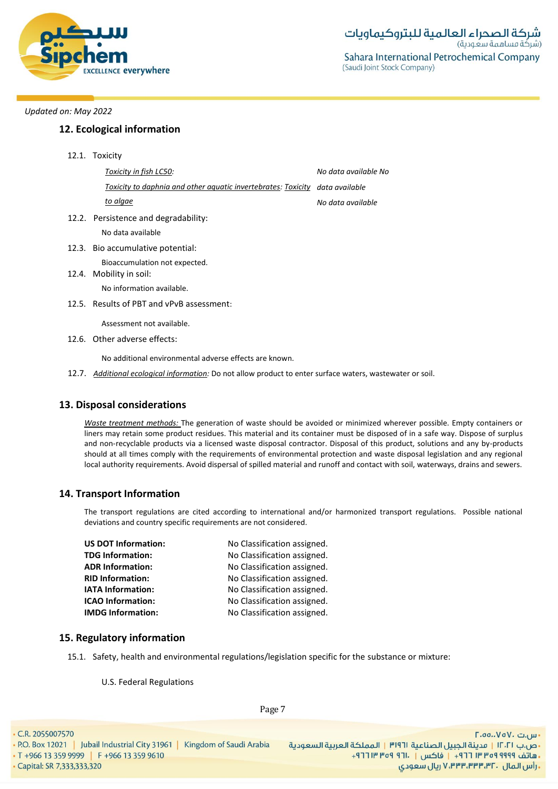

# **12. Ecological information**

12.1. Toxicity

| Toxicity in fish LC50:                                                       | No data available No |
|------------------------------------------------------------------------------|----------------------|
| Toxicity to daphnia and other aquatic invertebrates: Toxicity data available |                      |
| to algae                                                                     | No data available    |
| 12.2. Persistence and degradability:                                         |                      |
| No data available                                                            |                      |
| 12.3. Bio accumulative potential:                                            |                      |
| Bioaccumulation not expected.<br>12.4. Mobility in soil:                     |                      |
| No information available.                                                    |                      |
| 12.5. Results of PBT and vPvB assessment:                                    |                      |
| Assessment not available.                                                    |                      |
| 12.6. Other adverse effects:                                                 |                      |

No additional environmental adverse effects are known.

12.7. *Additional ecological information:* Do not allow product to enter surface waters, wastewater or soil.

## **13. Disposal considerations**

*Waste treatment methods:* The generation of waste should be avoided or minimized wherever possible. Empty containers or liners may retain some product residues. This material and its container must be disposed of in a safe way. Dispose of surplus and non-recyclable products via a licensed waste disposal contractor. Disposal of this product, solutions and any by-products should at all times comply with the requirements of environmental protection and waste disposal legislation and any regional local authority requirements. Avoid dispersal of spilled material and runoff and contact with soil, waterways, drains and sewers.

## **14. Transport Information**

The transport regulations are cited according to international and/or harmonized transport regulations. Possible national deviations and country specific requirements are not considered.

| <b>US DOT Information:</b> | No Classification assigned. |
|----------------------------|-----------------------------|
| <b>TDG Information:</b>    | No Classification assigned. |
| <b>ADR Information:</b>    | No Classification assigned. |
| <b>RID Information:</b>    | No Classification assigned. |
| <b>IATA Information:</b>   | No Classification assigned. |
| <b>ICAO Information:</b>   | No Classification assigned. |
| <b>IMDG Information:</b>   | No Classification assigned. |
|                            |                             |

## **15. Regulatory information**

15.1. Safety, health and environmental regulations/legislation specific for the substance or mixture:

U.S. Federal Regulations

Page 7

- C.R. 2055007570
	-

· Capital: SR 7,333,333,320

- س.ت ۷۵۷۰، ۲.۵۵.۰۷۵ - ص.ب IT، 1 | مدينة الجبيل الصناعية 1191 | المملكة العربية السعودية | P.O. Box 12021 | Jubail Industrial City 31961 | Kingdom of Saudi Arabia<br>- هاتف 1999 Pr +966 13 359 9999 | F +966 13 359 9610 ريال سعودي, ۷٬۳۳۳٬۳۳۳٬۳۲۰ ريال سعودي